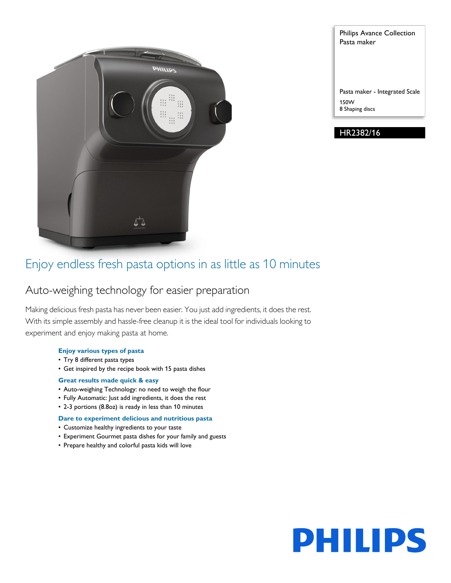

Pasta maker Pasta maker - Integrated Scale 150W

Philips Avance Collection

8 Shaping discs

HR2382/16

## Enjoy endless fresh pasta options in as little as 10 minutes

## Auto-weighing technology for easier preparation

Making delicious fresh pasta has never been easier. You just add ingredients, it does the rest. With its simple assembly and hassle-free cleanup it is the ideal tool for individuals looking to experiment and enjoy making pasta at home.

#### **Enjoy various types of pasta**

- Try 8 different pasta types
- Get inspired by the recipe book with 15 pasta dishes

#### **Great results made quick & easy**

- Auto-weighing Technology: no need to weigh the flour
- Fully Automatic: Just add ingredients, it does the rest
- 2-3 portions (8.8oz) is ready in less than 10 minutes

#### **Dare to experiment delicious and nutritious pasta**

- Customize healthy ingredients to your taste
- Experiment Gourmet pasta dishes for your family and guests
- Prepare healthy and colorful pasta kids will love

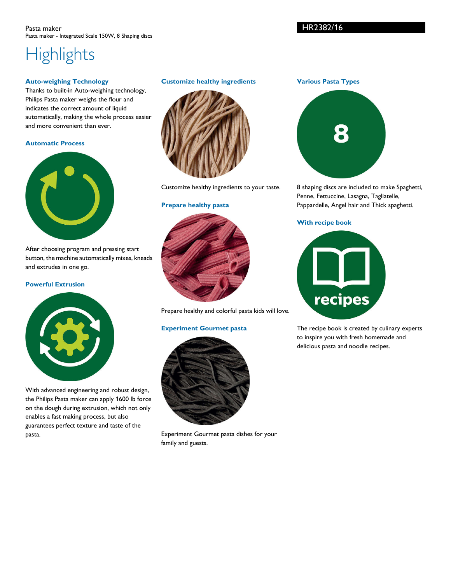#### Pasta maker Pasta maker - Integrated Scale 150W, 8 Shaping discs

### HR2382/16

# **Highlights**

#### **Auto-weighing Technology**

Thanks to built-in Auto-weighing technology, Philips Pasta maker weighs the flour and indicates the correct amount of liquid automatically, making the whole process easier and more convenient than ever.

#### **Automatic Process**



After choosing program and pressing start button, the machine automatically mixes, kneads and extrudes in one go.

#### **Powerful Extrusion**



With advanced engineering and robust design, the Philips Pasta maker can apply 1600 lb force on the dough during extrusion, which not only enables a fast making process, but also guarantees perfect texture and taste of the pasta.

#### **Customize healthy ingredients**



Customize healthy ingredients to your taste.

#### **Prepare healthy pasta**



Prepare healthy and colorful pasta kids will love.

#### **Experiment Gourmet pasta**



Experiment Gourmet pasta dishes for your family and guests.

**Various Pasta Types**



8 shaping discs are included to make Spaghetti, Penne, Fettuccine, Lasagna, Tagliatelle, Pappardelle, Angel hair and Thick spaghetti.

#### **With recipe book**



The recipe book is created by culinary experts to inspire you with fresh homemade and delicious pasta and noodle recipes.